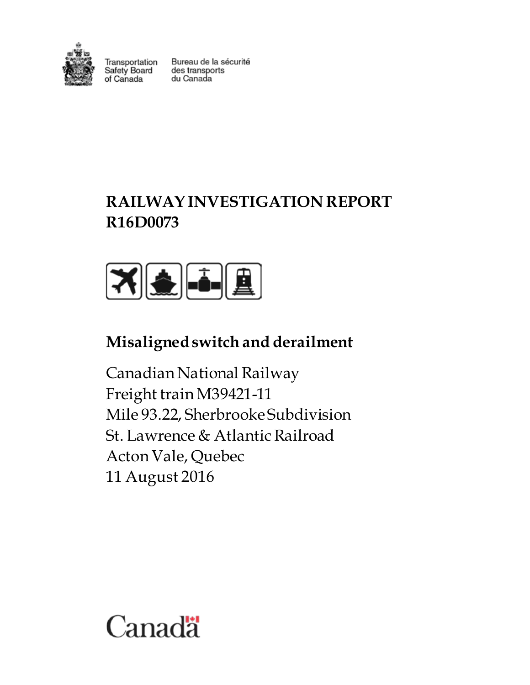

Transportation nansportation<br>Safety Board<br>of Canada of Canada

Bureau de la sécurité des transports du Canada

# **RAILWAY INVESTIGATION REPORT R16D0073**



# **Misaligned switch and derailment**

Canadian National Railway Freight train M39421-11 Mile 93.22, Sherbrooke Subdivision St. Lawrence & Atlantic Railroad Acton Vale, Quebec 11 August 2016

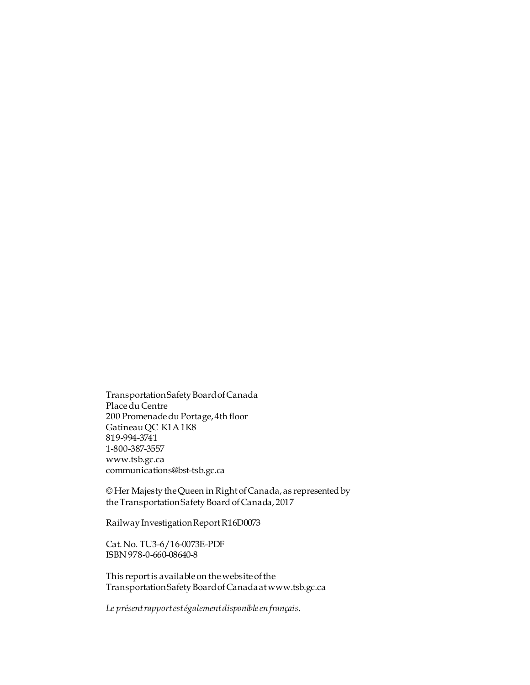Transportation Safety Board of Canada Place du Centre 200 Promenade du Portage, 4th floor Gatineau QC K1A 1K8 819-994-3741 1-800-387-3557 www.tsb.gc.ca communications@bst-tsb.gc.ca

© Her Majesty the Queen in Right of Canada, as represented by the Transportation Safety Board of Canada, 2017

Railway Investigation Report R16D0073

Cat. No. TU3-6/16-0073E-PDF ISBN 978-0-660-08640-8

This report is available on the website of the Transportation Safety Board of Canada at www.tsb.gc.ca

*Le présent rapport est également disponible en français*.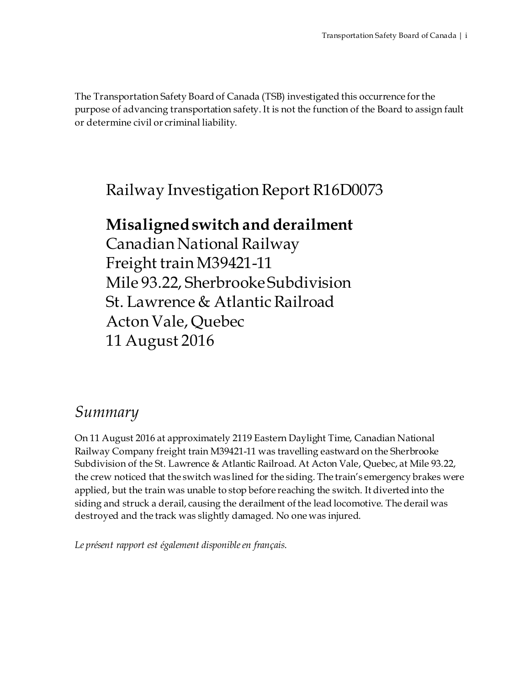The Transportation Safety Board of Canada (TSB) investigated this occurrence for the purpose of advancing transportation safety. It is not the function of the Board to assign fault or determine civil or criminal liability.

Railway Investigation Report R16D0073

# **Misaligned switch and derailment**

Canadian National Railway Freight train M39421-11 Mile 93.22, Sherbrooke Subdivision St. Lawrence & Atlantic Railroad Acton Vale, Quebec 11 August 2016

# *Summary*

On 11 August 2016 at approximately 2119 Eastern Daylight Time, Canadian National Railway Company freight train M39421-11 was travelling eastward on the Sherbrooke Subdivision of the St. Lawrence & Atlantic Railroad. At Acton Vale, Quebec, at Mile 93.22, the crew noticed that the switch was lined for the siding. The train's emergency brakes were applied, but the train was unable to stop before reaching the switch. It diverted into the siding and struck a derail, causing the derailment of the lead locomotive. The derail was destroyed and the track was slightly damaged. No one was injured.

*Le présent rapport est également disponible en français*.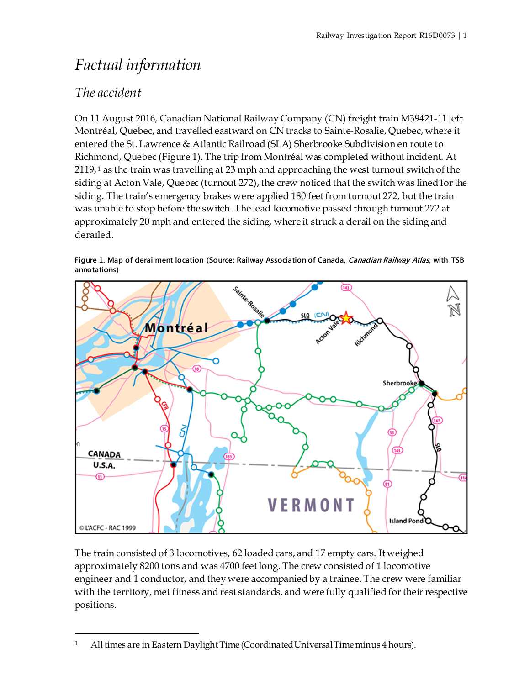# *Factual information*

## *The accident*

On 11 August 2016, Canadian National Railway Company (CN) freight train M39421-11 left Montréal, Quebec, and travelled eastward on CN tracks to Sainte-Rosalie, Quebec, where it entered the St. Lawrence & Atlantic Railroad (SLA) Sherbrooke Subdivision en route to Richmond, Quebec (Figure 1). The trip from Montréal was completed without incident. At 2[1](#page-4-0)19,<sup>1</sup> as the train was travelling at 23 mph and approaching the west turnout switch of the siding at Acton Vale, Quebec (turnout 272), the crew noticed that the switch was lined for the siding. The train's emergency brakes were applied 180 feet from turnout 272, but the train was unable to stop before the switch. The lead locomotive passed through turnout 272 at approximately 20 mph and entered the siding, where it struck a derail on the siding and derailed.





The train consisted of 3 locomotives, 62 loaded cars, and 17 empty cars. It weighed approximately 8200 tons and was 4700 feet long. The crew consisted of 1 locomotive engineer and 1 conductor, and they were accompanied by a trainee. The crew were familiar with the territory, met fitness and rest standards, and were fully qualified for their respective positions.

<span id="page-4-0"></span> $\overline{a}$ <sup>1</sup> All times are in Eastern Daylight Time (Coordinated Universal Time minus 4 hours).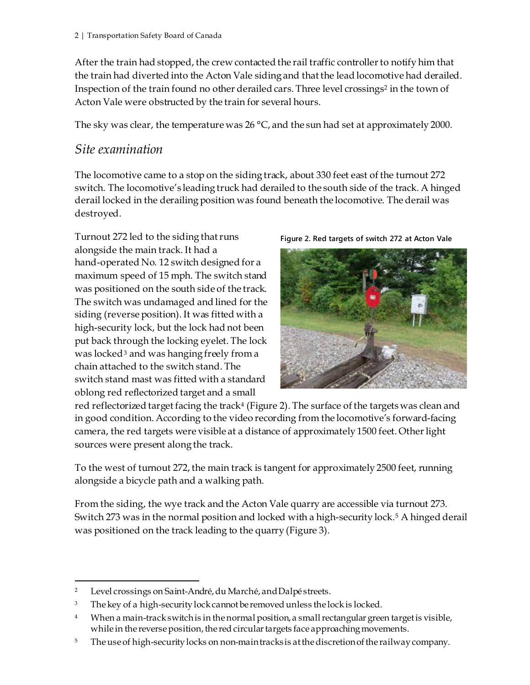After the train had stopped, the crew contacted the rail traffic controller to notify him that the train had diverted into the Acton Vale siding and that the lead locomotive had derailed. Inspection of the train found no other derailed cars. Three level crossings<sup>[2](#page-5-0)</sup> in the town of Acton Vale were obstructed by the train for several hours.

The sky was clear, the temperature was 26  $\degree$ C, and the sun had set at approximately 2000.

## *Site examination*

The locomotive came to a stop on the siding track, about 330 feet east of the turnout 272 switch. The locomotive's leading truck had derailed to the south side of the track. A hinged derail locked in the derailing position was found beneath the locomotive. The derail was destroyed.

Turnout 272 led to the siding that runs alongside the main track. It had a hand-operated No. 12 switch designed for a maximum speed of 15 mph. The switch stand was positioned on the south side of the track. The switch was undamaged and lined for the siding (reverse position). It was fitted with a high-security lock, but the lock had not been put back through the locking eyelet. The lock was locked<sup>[3](#page-5-1)</sup> and was hanging freely from a chain attached to the switch stand. The switch stand mast was fitted with a standard oblong red reflectorized target and a small

**Figure 2. Red targets of switch 272 at Acton Vale**



red reflectorized target facing the track<sup>4</sup> (Figure 2). The surface of the targets was clean and in good condition. According to the video recording from the locomotive's forward-facing camera, the red targets were visible at a distance of approximately 1500 feet. Other light sources were present along the track.

To the west of turnout 272, the main track is tangent for approximately 2500 feet, running alongside a bicycle path and a walking path.

From the siding, the wye track and the Acton Vale quarry are accessible via turnout 273. Switch 273 was in the normal position and locked with a high-security lock.[5](#page-5-3) A hinged derail was positioned on the track leading to the quarry (Figure 3).

<span id="page-5-0"></span> <sup>2</sup> Level crossings on Saint-André, du Marché, and Dalpé streets.

<span id="page-5-1"></span><sup>&</sup>lt;sup>3</sup> The key of a high-security lock cannot be removed unless the lock is locked.

<span id="page-5-2"></span><sup>&</sup>lt;sup>4</sup> When a main-track switch is in the normal position, a small rectangular green target is visible, while in the reverse position, the red circular targets face approaching movements.

<span id="page-5-3"></span><sup>&</sup>lt;sup>5</sup> The use of high-security locks on non-main tracks is at the discretion of the railway company.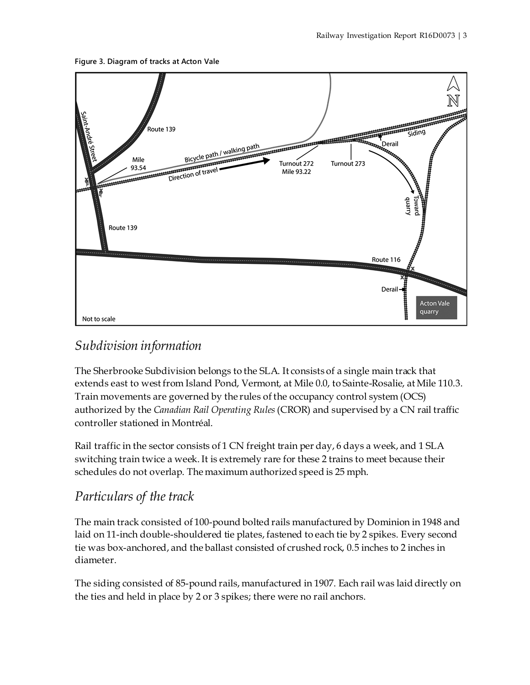#### **Figure 3. Diagram of tracks at Acton Vale**



## *Subdivision information*

The Sherbrooke Subdivision belongs to the SLA. It consists of a single main track that extends east to west from Island Pond, Vermont, at Mile 0.0, to Sainte-Rosalie, at Mile 110.3. Train movements are governed by the rules of the occupancy control system (OCS) authorized by the *Canadian Rail Operating Rules*(CROR) and supervised by a CN rail traffic controller stationed in Montréal.

Rail traffic in the sector consists of 1 CN freight train per day, 6 days a week, and 1 SLA switching train twice a week. It is extremely rare for these 2 trains to meet because their schedules do not overlap. The maximum authorized speed is 25 mph.

## *Particulars of the track*

The main track consisted of 100-pound bolted rails manufactured by Dominion in 1948 and laid on 11-inch double-shouldered tie plates, fastened to each tie by 2 spikes. Every second tie was box-anchored, and the ballast consisted of crushed rock, 0.5 inches to 2 inches in diameter.

The siding consisted of 85-pound rails, manufactured in 1907. Each rail was laid directly on the ties and held in place by 2 or 3 spikes; there were no rail anchors.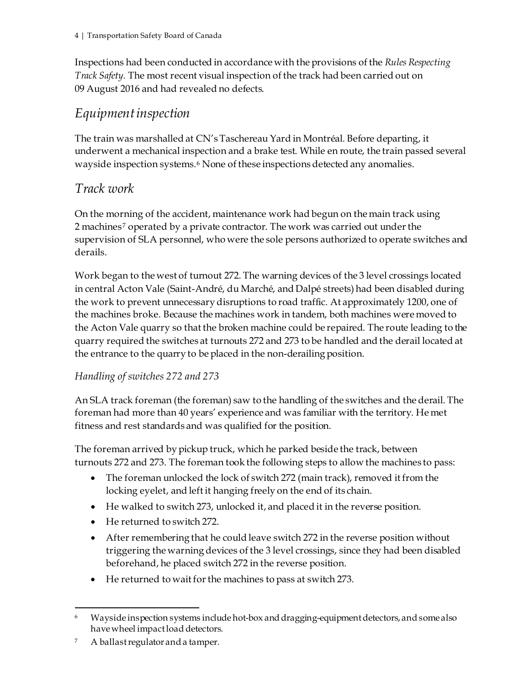Inspections had been conducted in accordance with the provisions of the *Rules Respecting Track Safety*. The most recent visual inspection of the track had been carried out on 09 August 2016 and had revealed no defects.

## *Equipment inspection*

The train was marshalled at CN'sTaschereau Yard in Montréal. Before departing, it underwent a mechanical inspection and a brake test. While en route, the train passed several wayside inspection systems.[6](#page-7-0) None of these inspections detected any anomalies.

## *Track work*

On the morning of the accident, maintenance work had begun on the main track using 2 machines[7](#page-7-1) operated by a private contractor. The work was carried out under the supervision of SLA personnel, who were the sole persons authorized to operate switches and derails.

Work began to the west of turnout 272. The warning devices of the 3 level crossings located in central Acton Vale (Saint-André, du Marché, and Dalpé streets) had been disabled during the work to prevent unnecessary disruptions to road traffic. At approximately 1200, one of the machines broke. Because the machines work in tandem, both machines were moved to the Acton Vale quarry so that the broken machine could be repaired. The route leading to the quarry required the switches at turnouts 272 and 273 to be handled and the derail located at the entrance to the quarry to be placed in the non-derailing position.

#### *Handling of switches 272 and 273*

An SLA track foreman (the foreman) saw to the handling of the switches and the derail. The foreman had more than 40 years' experience and was familiar with the territory. He met fitness and rest standards and was qualified for the position.

The foreman arrived by pickup truck, which he parked beside the track, between turnouts 272 and 273. The foreman took the following steps to allow the machines to pass:

- The foreman unlocked the lock of switch 272 (main track), removed it from the locking eyelet, and left it hanging freely on the end of its chain.
- He walked to switch 273, unlocked it, and placed it in the reverse position.
- He returned to switch 272.
- After remembering that he could leave switch 272 in the reverse position without triggering the warning devices of the 3 level crossings, since they had been disabled beforehand, he placed switch 272 in the reverse position.
- He returned to wait for the machines to pass at switch 273.

<span id="page-7-0"></span> <sup>6</sup> Wayside inspection systems include hot-box and dragging-equipment detectors, and some also have wheel impact load detectors.

<span id="page-7-1"></span><sup>7</sup> A ballast regulator and a tamper.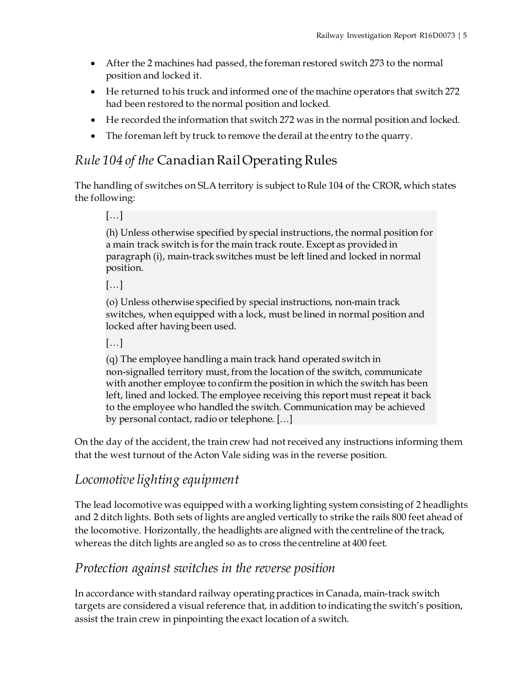- After the 2 machines had passed, the foreman restored switch 273 to the normal position and locked it.
- He returned to his truck and informed one of the machine operators that switch 272 had been restored to the normal position and locked.
- He recorded the information that switch 272 was in the normal position and locked.
- The foreman left by truck to remove the derail at the entry to the quarry.

# *Rule 104 of the* CanadianRail Operating Rules

The handling of switches on SLAterritory is subject to Rule 104 of the CROR, which states the following:

[…]

(h) Unless otherwise specified by special instructions, the normal position for a main track switch is for the main track route. Except as provided in paragraph (i), main-track switches must be left lined and locked in normal position.

[…]

(o) Unless otherwise specified by special instructions, non-main track switches, when equipped with a lock, must be lined in normal position and locked after having been used.

[…]

(q) The employee handling a main track hand operated switch in non-signalled territory must, from the location of the switch, communicate with another employee to confirm the position in which the switch has been left, lined and locked. The employee receiving this report must repeat it back to the employee who handled the switch. Communication may be achieved by personal contact, radio or telephone. […]

On the day of the accident, the train crew had not received any instructions informing them that the west turnout of the Acton Vale siding was in the reverse position.

## *Locomotive lighting equipment*

The lead locomotive was equipped with a working lighting system consisting of 2 headlights and 2 ditch lights. Both sets of lights are angled vertically to strike the rails 800 feet ahead of the locomotive. Horizontally, the headlights are aligned with the centreline of the track, whereas the ditch lights are angled so as to cross the centreline at 400 feet.

## *Protection against switches in the reverse position*

In accordance with standard railway operating practices in Canada, main-track switch targets are considered a visual reference that, in addition to indicating the switch's position, assist the train crew in pinpointing the exact location of a switch.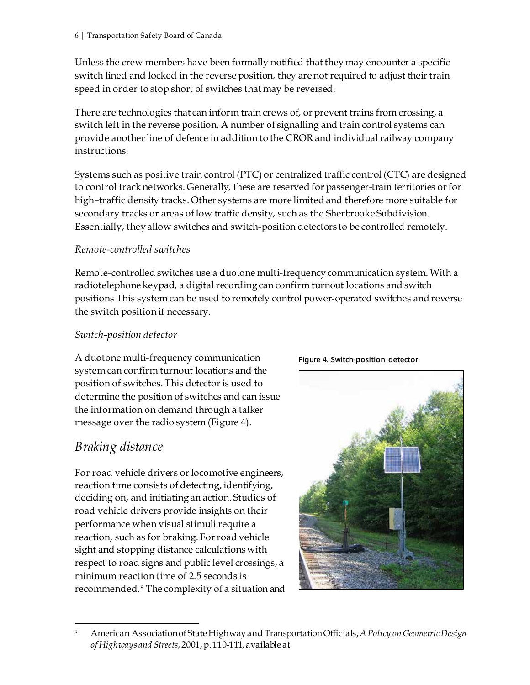Unless the crew members have been formally notified that they may encounter a specific switch lined and locked in the reverse position, they are not required to adjust their train speed in order to stop short of switches that may be reversed.

There are technologies that can inform train crews of, or prevent trains from crossing, a switch left in the reverse position. A number of signalling and train control systems can provide another line of defence in addition to the CROR and individual railway company instructions.

Systems such as positive train control (PTC) or centralized traffic control (CTC) are designed to control track networks. Generally, these are reserved for passenger-train territories or for high–traffic density tracks. Other systems are more limited and therefore more suitable for secondary tracks or areas of low traffic density, such as the Sherbrooke Subdivision. Essentially, they allow switches and switch-position detectors to be controlled remotely.

#### *Remote-controlled switches*

Remote-controlled switches use a duotone multi-frequency communication system. With a radiotelephone keypad, a digital recording can confirm turnout locations and switch positions This system can be used to remotely control power-operated switches and reverse the switch position if necessary.

#### *Switch-position detector*

A duotone multi-frequency communication system can confirm turnout locations and the position of switches. This detector is used to determine the position of switches and can issue the information on demand through a talker message over the radio system (Figure 4).

## *Braking distance*

For road vehicle drivers or locomotive engineers, reaction time consists of detecting, identifying, deciding on, and initiating an action. Studies of road vehicle drivers provide insights on their performance when visual stimuli require a reaction, such as for braking. For road vehicle sight and stopping distance calculations with respect to road signs and public level crossings, a minimum reaction time of 2.5 seconds is recommended.[8](#page-9-0) The complexity of a situation and



<span id="page-9-0"></span> <sup>8</sup> American Association of State Highway and Transportation Officials, *A Policy on Geometric Design of Highways and Streets*, 2001, p. 110-111, available at

**Figure 4. Switch-position detector**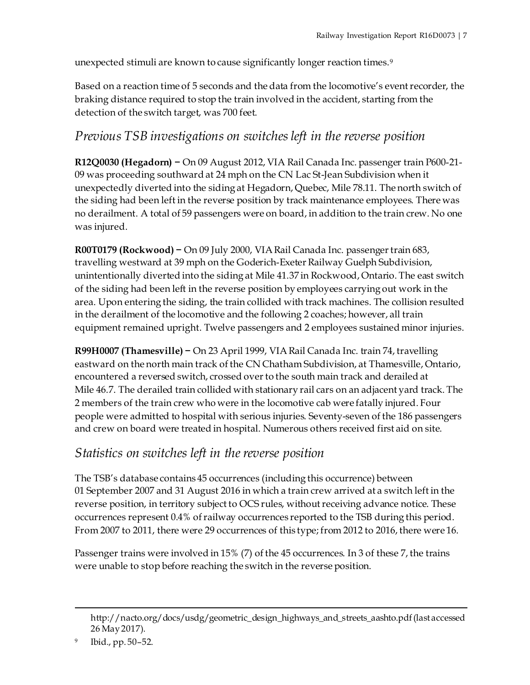unexpected stimuli are known to cause significantly longer reaction times.[9](#page-10-0)

Based on a reaction time of 5 seconds and the data from the locomotive's event recorder, the braking distance required to stop the train involved in the accident, starting from the detection of the switch target, was 700 feet.

## *Previous TSB investigations on switches left in the reverse position*

**R12Q0030 (Hegadorn) −** On 09 August 2012, VIA Rail Canada Inc. passenger train P600-21- 09 was proceeding southward at 24 mph on the CN Lac St-Jean Subdivision when it unexpectedly diverted into the siding at Hegadorn, Quebec, Mile 78.11. The north switch of the siding had been left in the reverse position by track maintenance employees. There was no derailment. A total of 59 passengers were on board, in addition to the train crew. No one was injured.

**R00T0179 (Rockwood) −** On 09 July 2000, VIA Rail Canada Inc. passenger train 683, travelling westward at 39 mph on the Goderich-Exeter Railway Guelph Subdivision, unintentionally diverted into the siding at Mile 41.37 in Rockwood, Ontario. The east switch of the siding had been left in the reverse position by employees carrying out work in the area. Upon entering the siding, the train collided with track machines. The collision resulted in the derailment of the locomotive and the following 2 coaches; however, all train equipment remained upright. Twelve passengers and 2 employees sustained minor injuries.

**R99H0007 (Thamesville) −** On 23 April 1999, VIA Rail Canada Inc. train 74, travelling eastward on the north main track of the CN Chatham Subdivision, at Thamesville, Ontario, encountered a reversed switch, crossed over to the south main track and derailed at Mile 46.7. The derailed train collided with stationary rail cars on an adjacent yard track. The 2 members of the train crew who were in the locomotive cab were fatally injured. Four people were admitted to hospital with serious injuries. Seventy-seven of the 186 passengers and crew on board were treated in hospital. Numerous others received first aid on site.

## *Statistics on switches left in the reverse position*

The TSB's database contains 45 occurrences (including this occurrence) between 01 September 2007 and 31 August 2016 in which a train crew arrived at a switch left in the reverse position, in territory subject to OCS rules, without receiving advance notice. These occurrences represent 0.4% of railway occurrences reported to the TSB during this period. From 2007 to 2011, there were 29 occurrences of this type; from 2012 to 2016, there were 16.

Passenger trains were involved in 15% (7) of the 45 occurrences. In 3 of these 7, the trains were unable to stop before reaching the switch in the reverse position.

 $\overline{a}$ 

http://nacto.org/docs/usdg/geometric\_design\_highways\_and\_streets\_aashto.pdf (last accessed 26 May 2017).

<span id="page-10-0"></span><sup>9</sup> Ibid., pp. 50–52.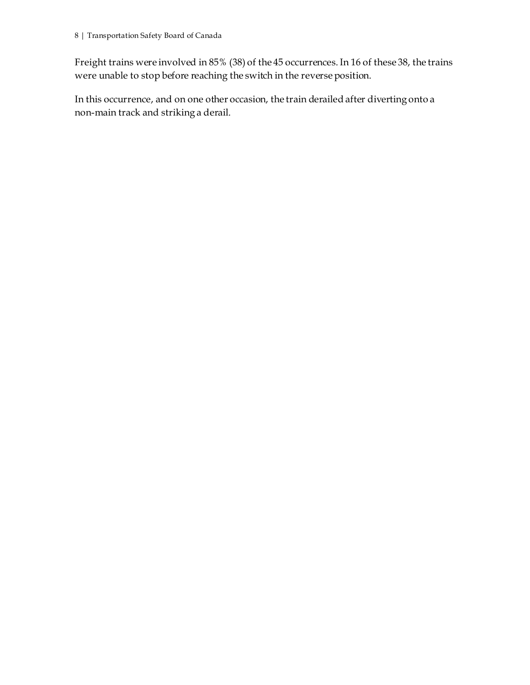Freight trains were involved in 85% (38) of the 45 occurrences. In 16 of these 38, the trains were unable to stop before reaching the switch in the reverse position.

In this occurrence, and on one other occasion, the train derailed after diverting onto a non-main track and striking a derail.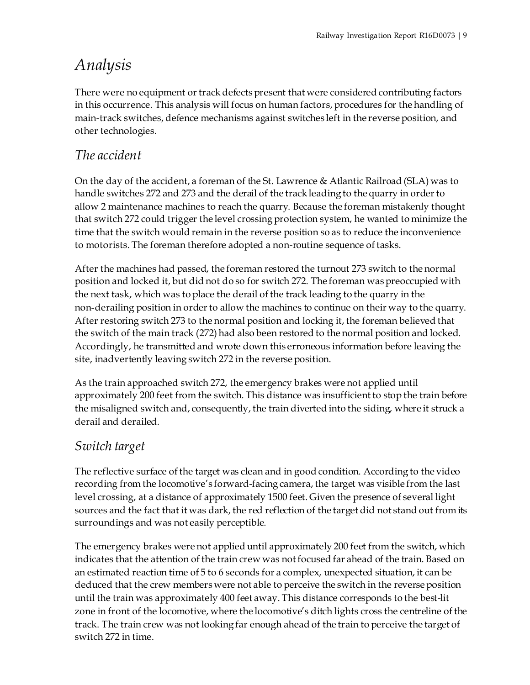# *Analysis*

There were no equipment or track defects present that were considered contributing factors in this occurrence. This analysis will focus on human factors, procedures for the handling of main-track switches, defence mechanisms against switches left in the reverse position, and other technologies.

# *The accident*

On the day of the accident, a foreman of the St. Lawrence & Atlantic Railroad (SLA) was to handle switches 272 and 273 and the derail of the track leading to the quarry in order to allow 2 maintenance machines to reach the quarry. Because the foreman mistakenly thought that switch 272 could trigger the level crossing protection system, he wanted to minimize the time that the switch would remain in the reverse position so as to reduce the inconvenience to motorists. The foreman therefore adopted a non-routine sequence of tasks.

After the machines had passed, the foreman restored the turnout 273 switch to the normal position and locked it, but did not do so for switch 272. The foreman was preoccupied with the next task, which was to place the derail of the track leading to the quarry in the non-derailing position in order to allow the machines to continue on their way to the quarry. After restoring switch 273 to the normal position and locking it, the foreman believed that the switch of the main track (272) had also been restored to the normal position and locked. Accordingly, he transmitted and wrote down this erroneous information before leaving the site, inadvertently leaving switch 272 in the reverse position.

As the train approached switch 272, the emergency brakes were not applied until approximately 200 feet from the switch. This distance was insufficient to stop the train before the misaligned switch and, consequently, the train diverted into the siding, where it struck a derail and derailed.

# *Switch target*

The reflective surface of the target was clean and in good condition. According to the video recording from the locomotive's forward-facing camera, the target was visible from the last level crossing, at a distance of approximately 1500 feet. Given the presence of several light sources and the fact that it was dark, the red reflection of the target did not stand out from its surroundings and was not easily perceptible.

The emergency brakes were not applied until approximately 200 feet from the switch, which indicates that the attention of the train crew was not focused far ahead of the train. Based on an estimated reaction time of 5 to 6 seconds for a complex, unexpected situation, it can be deduced that the crew members were not able to perceive the switch in the reverse position until the train was approximately 400 feet away. This distance corresponds to the best-lit zone in front of the locomotive, where the locomotive's ditch lights cross the centreline of the track. The train crew was not looking far enough ahead of the train to perceive the target of switch 272 in time.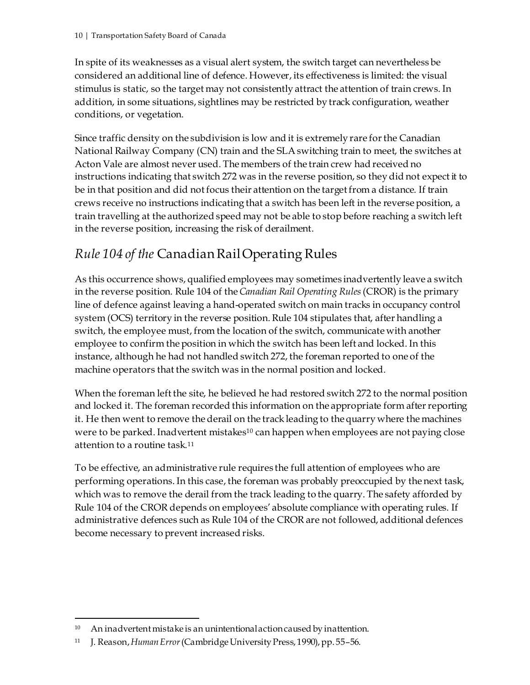In spite of its weaknesses as a visual alert system, the switch target can nevertheless be considered an additional line of defence. However, its effectiveness is limited: the visual stimulus is static, so the target may not consistently attract the attention of train crews. In addition, in some situations, sightlines may be restricted by track configuration, weather conditions, or vegetation.

Since traffic density on the subdivision is low and it is extremely rare forthe Canadian National Railway Company (CN) train and the SLAswitching train to meet, the switches at Acton Vale are almost never used. The members of the train crew had received no instructions indicating that switch 272 was in the reverse position, so they did not expect it to be in that position and did not focus their attention on the target from a distance. If train crews receive no instructions indicating that a switch has been left in the reverse position, a train travelling at the authorized speed may not be able to stop before reaching a switch left in the reverse position, increasing the risk of derailment.

# *Rule 104 of the* Canadian Rail Operating Rules

As this occurrence shows, qualified employees may sometimes inadvertently leave a switch in the reverse position. Rule 104 of the *Canadian Rail Operating Rules* (CROR) is the primary line of defence against leaving a hand-operated switch on main tracks in occupancy control system (OCS) territory in the reverse position. Rule 104 stipulates that, after handling a switch, the employee must, from the location of the switch, communicate with another employee to confirm the position in which the switch has been left and locked. In this instance, although he had not handled switch 272, the foreman reported to one of the machine operators that the switch was in the normal position and locked.

When the foreman left the site, he believed he had restored switch 272 to the normal position and locked it. The foreman recorded this information on the appropriate form after reporting it. He then went to remove the derail on the track leading to the quarry where the machines were to be parked. Inadvertent mistakes<sup>[10](#page-13-0)</sup> can happen when employees are not paying close attention to a routine task.[11](#page-13-1)

To be effective, an administrative rule requires the full attention of employees who are performing operations. In this case, the foreman was probably preoccupied by the next task, which was to remove the derail from the track leading to the quarry. The safety afforded by Rule 104 of the CROR depends on employees' absolute compliance with operating rules. If administrative defences such as Rule 104 of the CROR are not followed, additional defences become necessary to prevent increased risks.

<span id="page-13-0"></span> <sup>10</sup> An inadvertent mistake is an unintentional action caused by inattention.

<span id="page-13-1"></span><sup>11</sup> J. Reason, *Human Error*(Cambridge University Press, 1990), pp. 55–56.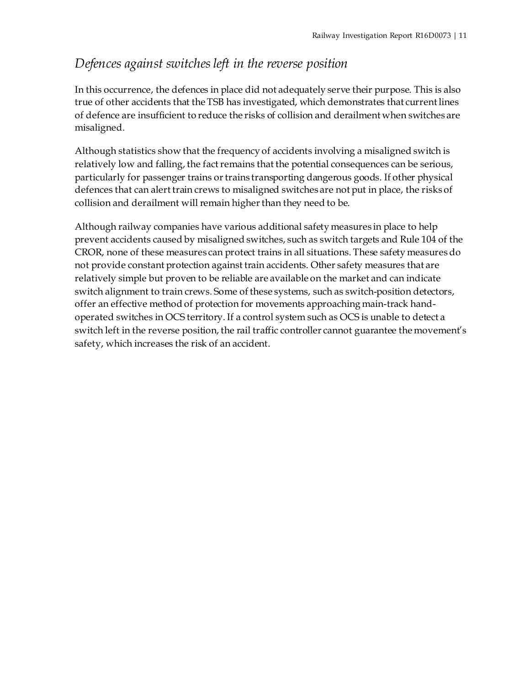## *Defences against switches left in the reverse position*

In this occurrence, the defences in place did not adequately serve their purpose. This is also true of other accidents that the TSB has investigated, which demonstrates that current lines of defence are insufficient to reduce the risks of collision and derailment when switches are misaligned.

Although statistics show that the frequency of accidents involving a misaligned switch is relatively low and falling, the fact remains that the potential consequences can be serious, particularly for passenger trains or trains transporting dangerous goods. If other physical defences that can alert train crews to misaligned switches are not put in place, the risks of collision and derailment will remain higher than they need to be.

Although railway companies have various additional safety measures in place to help prevent accidents caused by misaligned switches, such as switch targets and Rule 104 of the CROR, none of these measures can protect trains in all situations. These safety measures do not provide constant protection against train accidents. Other safety measures that are relatively simple but proven to be reliable are available on the market and can indicate switch alignment to train crews. Some of these systems, such as switch-position detectors, offer an effective method of protection for movements approaching main-track handoperated switches in OCS territory. If a control system such as OCS is unable to detect a switch left in the reverse position, the rail traffic controller cannot guarantee the movement's safety, which increases the risk of an accident.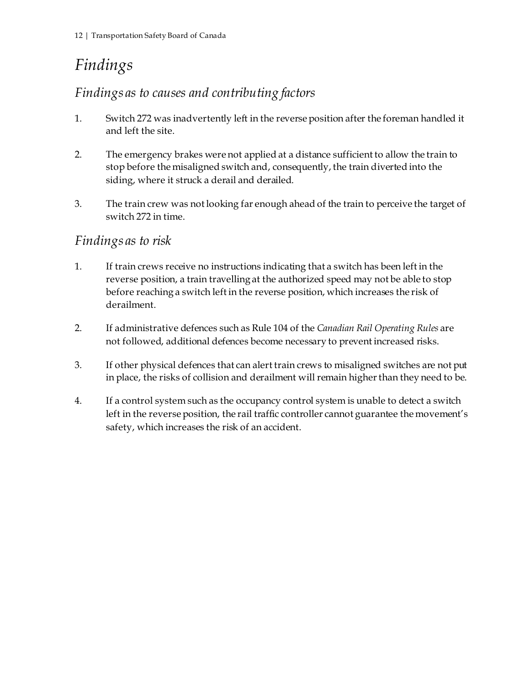# *Findings*

## *Findings as to causes and contributing factors*

- 1. Switch 272 was inadvertently left in the reverse position after the foreman handled it and left the site.
- 2. The emergency brakes were not applied at a distance sufficient to allow the train to stop before the misaligned switch and, consequently, the train diverted into the siding, where it struck a derail and derailed.
- 3. The train crew was not looking far enough ahead of the train to perceive the target of switch 272 in time.

## *Findings as to risk*

- 1. If train crews receive no instructions indicating that a switch has been left in the reverse position, a train travelling at the authorized speed may not be able to stop before reaching a switch left in the reverse position, which increases the risk of derailment.
- 2. If administrative defences such as Rule 104 of the *Canadian Rail Operating Rules* are not followed, additional defences become necessary to prevent increased risks.
- 3. If other physical defences that can alert train crews to misaligned switches are not put in place, the risks of collision and derailment will remain higher than they need to be.
- 4. If a control system such as the occupancy control system is unable to detect a switch left in the reverse position, the rail traffic controller cannot guarantee the movement's safety, which increases the risk of an accident.